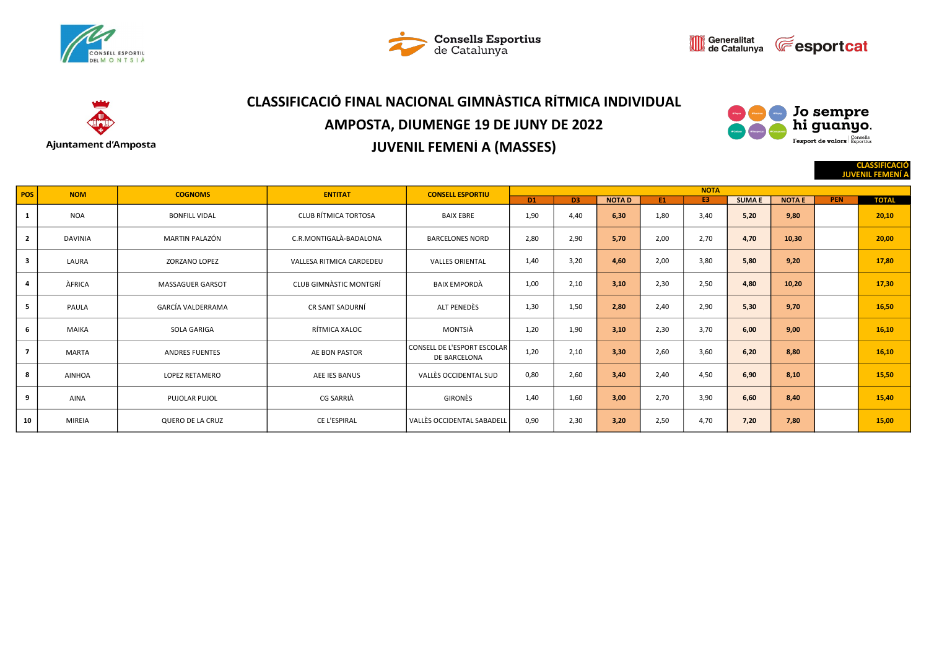







# CLASSIFICACIÓ FINAL NACIONAL GIMNÀSTICA RÍTMICA INDIVIDUAL AMPOSTA, DIUMENGE 19 DE JUNY DE 2022 JUVENIL FEMENÍ A (MASSES)



CLASSIFICACIÓ

JUVENIL FEMENÍ A

| <b>POS</b>              | <b>NOM</b>     | <b>COGNOMS</b>          | <b>ENTITAT</b>              | <b>CONSELL ESPORTIU</b>                            |                |                |              |      | <b>NOTA</b> |              |               |            |              |
|-------------------------|----------------|-------------------------|-----------------------------|----------------------------------------------------|----------------|----------------|--------------|------|-------------|--------------|---------------|------------|--------------|
|                         |                |                         |                             |                                                    | D <sub>1</sub> | D <sub>3</sub> | <b>NOTAD</b> | E1   | E3          | <b>SUMAE</b> | <b>NOTA E</b> | <b>PEN</b> | <b>TOTAL</b> |
|                         | <b>NOA</b>     | <b>BONFILL VIDAL</b>    | <b>CLUB RÍTMICA TORTOSA</b> | <b>BAIX EBRE</b>                                   | 1,90           | 4,40           | 6,30         | 1,80 | 3,40        | 5,20         | 9,80          |            | 20,10        |
| $\overline{2}$          | <b>DAVINIA</b> | MARTIN PALAZÓN          | C.R.MONTIGALÀ-BADALONA      | <b>BARCELONES NORD</b>                             | 2,80           | 2,90           | 5,70         | 2,00 | 2,70        | 4,70         | 10,30         |            | 20,00        |
| $\overline{\mathbf{3}}$ | LAURA          | <b>ZORZANO LOPEZ</b>    | VALLESA RITMICA CARDEDEU    | <b>VALLES ORIENTAL</b>                             | 1,40           | 3,20           | 4,60         | 2,00 | 3,80        | 5,80         | 9,20          |            | 17,80        |
| $\overline{a}$          | ÀFRICA         | <b>MASSAGUER GARSOT</b> | CLUB GIMNASTIC MONTGRÍ      | BAIX EMPORDÀ                                       | 1,00           | 2,10           | 3,10         | 2,30 | 2,50        | 4,80         | 10,20         |            | 17,30        |
| 5                       | PAULA          | GARCÍA VALDERRAMA       | CR SANT SADURNÍ             | ALT PENEDÈS                                        | 1,30           | 1,50           | 2,80         | 2,40 | 2,90        | 5,30         | 9,70          |            | 16,50        |
| 6                       | <b>MAIKA</b>   | SOLA GARIGA             | RÍTMICA XALOC               | MONTSIÀ                                            | 1,20           | 1,90           | 3,10         | 2,30 | 3,70        | 6,00         | 9,00          |            | 16,10        |
| 7                       | MARTA          | <b>ANDRES FUENTES</b>   | <b>AE BON PASTOR</b>        | <b>CONSELL DE L'ESPORT ESCOLAR</b><br>DE BARCELONA | 1,20           | 2,10           | 3,30         | 2,60 | 3,60        | 6,20         | 8,80          |            | 16,10        |
| 8                       | <b>AINHOA</b>  | <b>LOPEZ RETAMERO</b>   | AEE IES BANUS               | VALLÈS OCCIDENTAL SUD                              | 0,80           | 2,60           | 3,40         | 2,40 | 4,50        | 6,90         | 8,10          |            | 15,50        |
| 9                       | <b>AINA</b>    | PUJOLAR PUJOL           | CG SARRIÀ                   | GIRONÈS                                            | 1,40           | 1,60           | 3,00         | 2,70 | 3,90        | 6,60         | 8,40          |            | 15,40        |
| 10                      | <b>MIREIA</b>  | QUERO DE LA CRUZ        | CE L'ESPIRAL                | VALLÈS OCCIDENTAL SABADELL                         | 0,90           | 2,30           | 3,20         | 2,50 | 4,70        | 7,20         | 7,80          |            | 15,00        |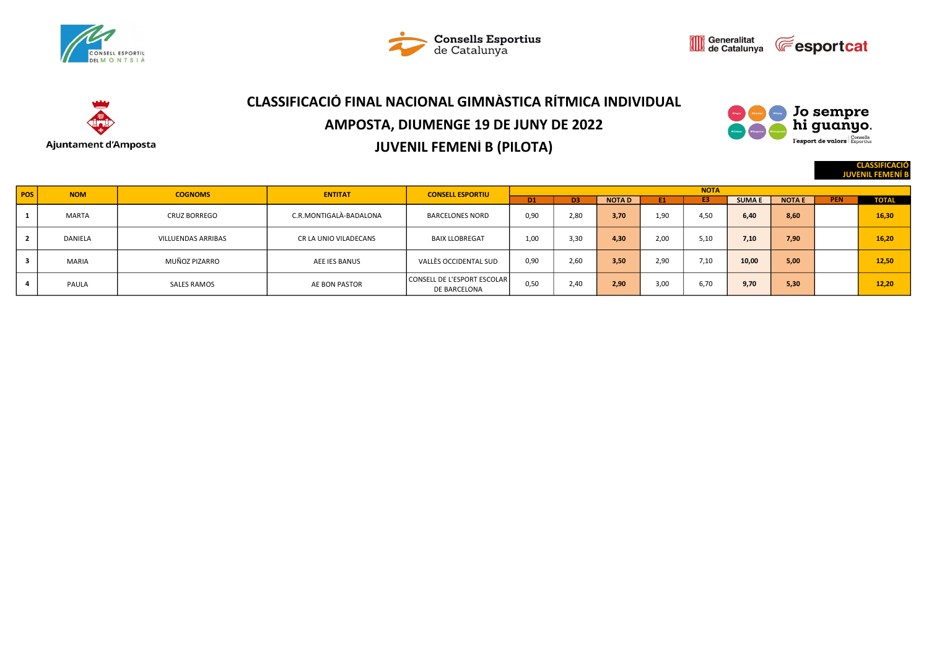







# CLASSIFICACIÓ FINAL NACIONAL GIMNÀSTICA RÍTMICA INDIVIDUAL AMPOSTA, DIUMENGE 19 DE JUNY DE 2022 JUVENIL FEMENÍ B (PILOTA)



CLASSIFICACIÓ

**JUVENIL FE** 

| POS | <b>NOM</b>   | <b>COGNOMS</b>      | <b>ENTITAT</b>         | <b>CONSELL ESPORTIU</b>                     | <b>NOTA</b>    |                |              |      |      |              |               |            |              |  |  |
|-----|--------------|---------------------|------------------------|---------------------------------------------|----------------|----------------|--------------|------|------|--------------|---------------|------------|--------------|--|--|
|     |              |                     |                        |                                             | D <sub>1</sub> | D <sub>3</sub> | <b>NOTAD</b> | E1   | E3   | <b>SUMAE</b> | <b>NOTA E</b> | <b>PEN</b> | <b>TOTAL</b> |  |  |
|     | <b>MARTA</b> | <b>CRUZ BORREGO</b> | C.R.MONTIGALÀ-BADALONA | <b>BARCELONES NORD</b>                      | 0,90           | 2,80           | 3,70         | 1,90 | 4,50 | 6,40         | 8,60          |            | 16.30        |  |  |
|     | DANIELA      | VILLUENDAS ARRIBAS  | CR LA UNIO VILADECANS  | <b>BAIX LLOBREGAT</b>                       | 1,00           | 3.30           | 4.30         | 2,00 | 5,10 | 7,10         | 7,90          |            | 16.20        |  |  |
|     | <b>MARIA</b> | MUÑOZ PIZARRO       | AEE IES BANUS          | VALLÈS OCCIDENTAL SUD                       | 0,90           | 2,60           | 3,50         | 2,90 | 7,10 | 10,00        | 5,00          |            | 12.50        |  |  |
|     | PAULA        | SALES RAMOS         | AE BON PASTOR          | CONSELL DE L'ESPORT ESCOLAR<br>DE BARCELONA | 0,50           | 2,40           | 2,90         | 3,00 | 6,70 | 9,70         | 5,30          |            | 12.20        |  |  |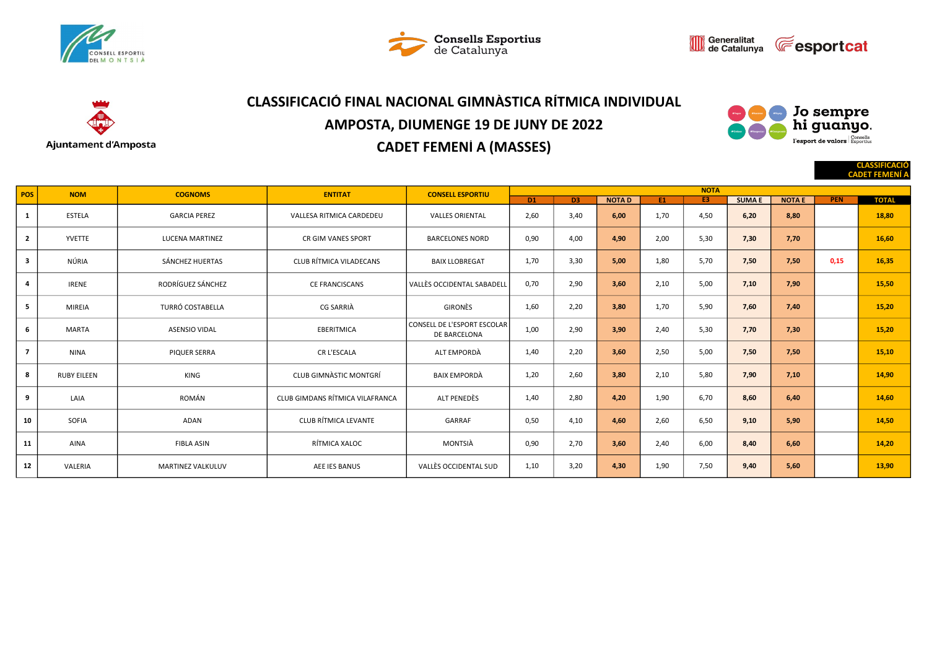







# CLASSIFICACIÓ FINAL NACIONAL GIMNÀSTICA RÍTMICA INDIVIDUAL AMPOSTA, DIUMENGE 19 DE JUNY DE 2022 CADET FEMENÍ A (MASSES)



CLASSIFICACIÓ

|                         |                    |                          |                                 |                                             |                 |                |              |      |             |              |               |            | <b>CADET FEMENI A</b> |
|-------------------------|--------------------|--------------------------|---------------------------------|---------------------------------------------|-----------------|----------------|--------------|------|-------------|--------------|---------------|------------|-----------------------|
| <b>POS</b>              | <b>NOM</b>         | <b>COGNOMS</b>           | <b>ENTITAT</b>                  | <b>CONSELL ESPORTIU</b>                     |                 |                |              |      | <b>NOTA</b> |              |               |            |                       |
|                         |                    |                          |                                 |                                             | $\overline{D1}$ | D <sub>3</sub> | <b>NOTAD</b> | E1   | E3          | <b>SUMAE</b> | <b>NOTA E</b> | <b>PEN</b> | <b>TOTAL</b>          |
| $\mathbf{1}$            | <b>ESTELA</b>      | <b>GARCIA PEREZ</b>      | VALLESA RITMICA CARDEDEU        | <b>VALLES ORIENTAL</b>                      | 2,60            | 3,40           | 6,00         | 1,70 | 4,50        | 6,20         | 8,80          |            | 18,80                 |
| $\overline{2}$          | YVETTE             | <b>LUCENA MARTINEZ</b>   | <b>CR GIM VANES SPORT</b>       | <b>BARCELONES NORD</b>                      | 0,90            | 4,00           | 4,90         | 2,00 | 5,30        | 7,30         | 7,70          |            | 16,60                 |
| $\overline{\mathbf{3}}$ | NÚRIA              | SÁNCHEZ HUERTAS          | <b>CLUB RÍTMICA VILADECANS</b>  | <b>BAIX LLOBREGAT</b>                       | 1,70            | 3,30           | 5,00         | 1,80 | 5,70        | 7,50         | 7,50          | 0,15       | 16,35                 |
| 4                       | <b>IRENE</b>       | RODRÍGUEZ SÁNCHEZ        | <b>CE FRANCISCANS</b>           | <b>VALLÈS OCCIDENTAL SABADELL</b>           | 0,70            | 2,90           | 3,60         | 2,10 | 5,00        | 7,10         | 7,90          |            | 15,50                 |
| 5                       | <b>MIREIA</b>      | TURRÓ COSTABELLA         | <b>CG SARRIÀ</b>                | <b>GIRONÈS</b>                              | 1,60            | 2,20           | 3,80         | 1,70 | 5,90        | 7,60         | 7,40          |            | 15,20                 |
| 6                       | <b>MARTA</b>       | <b>ASENSIO VIDAL</b>     | <b>EBERITMICA</b>               | CONSELL DE L'ESPORT ESCOLAR<br>DE BARCELONA | 1,00            | 2,90           | 3,90         | 2,40 | 5,30        | 7,70         | 7,30          |            | 15,20                 |
| $\overline{7}$          | <b>NINA</b>        | PIQUER SERRA             | CR L'ESCALA                     | ALT EMPORDÀ                                 | 1,40            | 2,20           | 3,60         | 2,50 | 5,00        | 7,50         | 7,50          |            | 15,10                 |
| 8                       | <b>RUBY EILEEN</b> | KING                     | <b>CLUB GIMNASTIC MONTGRÍ</b>   | <b>BAIX EMPORDÀ</b>                         | 1,20            | 2,60           | 3,80         | 2,10 | 5,80        | 7,90         | 7,10          |            | 14,90                 |
| 9                       | LAIA               | ROMÁN                    | CLUB GIMDANS RÍTMICA VILAFRANCA | ALT PENEDÈS                                 | 1,40            | 2,80           | 4,20         | 1,90 | 6,70        | 8,60         | 6,40          |            | 14,60                 |
| 10                      | SOFIA              | ADAN                     | CLUB RÍTMICA LEVANTE            | GARRAF                                      | 0,50            | 4,10           | 4,60         | 2,60 | 6,50        | 9,10         | 5,90          |            | 14,50                 |
| 11                      | AINA               | <b>FIBLA ASIN</b>        | RÍTMICA XALOC                   | MONTSIÀ                                     | 0,90            | 2,70           | 3,60         | 2,40 | 6,00        | 8,40         | 6,60          |            | 14,20                 |
| 12                      | VALERIA            | <b>MARTINEZ VALKULUV</b> | AEE IES BANUS                   | VALLÈS OCCIDENTAL SUD                       | 1,10            | 3,20           | 4,30         | 1,90 | 7,50        | 9,40         | 5,60          |            | 13,90                 |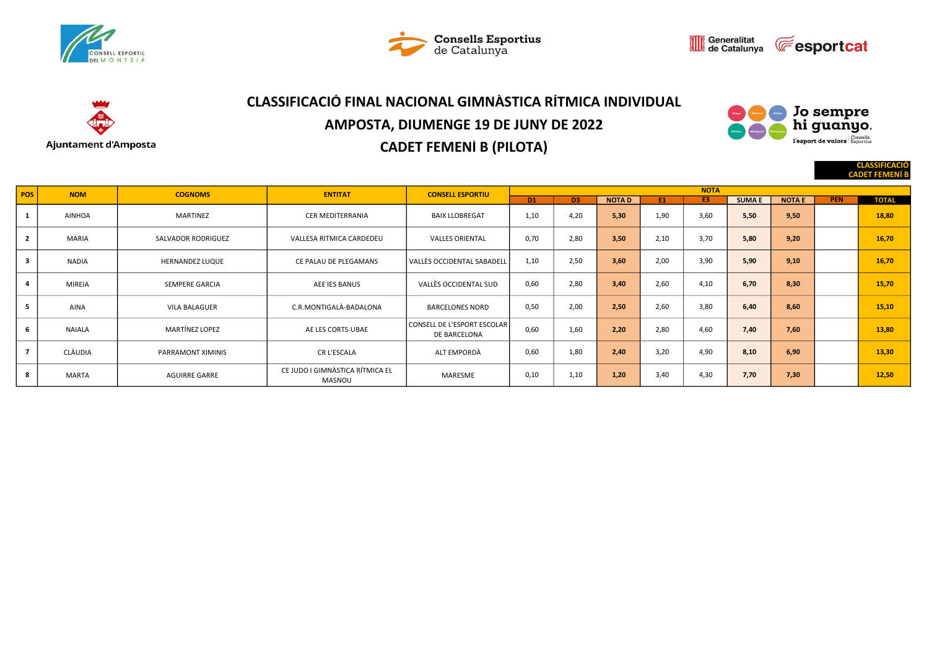







# CLASSIFICACIÓ FINAL NACIONAL GIMNÀSTICA RÍTMICA INDIVIDUAL AMPOSTA, DIUMENGE 19 DE JUNY DE 2022 CADET FEMENÍ B (PILOTA)



CLASSIFICACIÓ CADET FE

| POS                     | <b>NOM</b>    | <b>COGNOMS</b>         | <b>ENTITAT</b>                            | <b>CONSELL ESPORTIU</b>                     | <b>NOTA</b>    |                |              |      |      |              |               |            |              |  |  |  |
|-------------------------|---------------|------------------------|-------------------------------------------|---------------------------------------------|----------------|----------------|--------------|------|------|--------------|---------------|------------|--------------|--|--|--|
|                         |               |                        |                                           |                                             | D <sub>1</sub> | D <sub>3</sub> | <b>NOTAD</b> | E1   | E3   | <b>SUMAE</b> | <b>NOTA E</b> | <b>PEN</b> | <b>TOTAL</b> |  |  |  |
| $\mathbf{1}$            | <b>AINHOA</b> | MARTINEZ               | <b>CER MEDITERRANIA</b>                   | <b>BAIX LLOBREGAT</b>                       | 1,10           | 4.20           | 5,30         | 1,90 | 3.60 | 5,50         | 9,50          |            | 18,80        |  |  |  |
| $\overline{2}$          | <b>MARIA</b>  | SALVADOR RODRIGUEZ     | VALLESA RITMICA CARDEDEU                  | <b>VALLES ORIENTAL</b>                      | 0,70           | 2.80           | 3,50         | 2,10 | 3,70 | 5,80         | 9,20          |            | 16,70        |  |  |  |
| $\overline{\mathbf{3}}$ | <b>NADIA</b>  | <b>HERNANDEZ LUQUE</b> | CE PALAU DE PLEGAMANS                     | l VALLÈS OCCIDENTAL SABADELL                | 1,10           | 2.50           | 3.60         | 2,00 | 3,90 | 5.90         | 9.10          |            | 16,70        |  |  |  |
| $\overline{a}$          | <b>MIREIA</b> | SEMPERE GARCIA         | AEE IES BANUS                             | VALLÈS OCCIDENTAL SUD                       | 0,60           | 2,80           | 3,40         | 2,60 | 4,10 | 6.70         | 8,30          |            | 15,70        |  |  |  |
| 5                       | <b>AINA</b>   | <b>VILA BALAGUER</b>   | C.R.MONTIGALÀ-BADALONA                    | <b>BARCELONES NORD</b>                      | 0,50           | 2.00           | 2,50         | 2,60 | 3,80 | 6.40         | 8.60          |            | 15,10        |  |  |  |
| 6                       | <b>NAIALA</b> | <b>MARTÍNEZ LOPEZ</b>  | AE LES CORTS-UBAE                         | CONSELL DE L'ESPORT ESCOLAR<br>DE BARCELONA | 0,60           | 1.60           | 2.20         | 2,80 | 4.60 | 7.40         | 7.60          |            | 13,80        |  |  |  |
| $\overline{7}$          | CLÀUDIA       | PARRAMONT XIMINIS      | CR L'ESCALA                               | ALT EMPORDÀ                                 | 0,60           | 1.80           | 2.40         | 3,20 | 4.90 | 8,10         | 6.90          |            | 13,30        |  |  |  |
| 8                       | <b>MARTA</b>  | <b>AGUIRRE GARRE</b>   | CE JUDO I GIMNÀSTICA RÍTMICA EL<br>MASNOU | MARESME                                     | 0,10           | 1,10           | 1,20         | 3,40 | 4,30 | 7,70         | 7,30          |            | 12,50        |  |  |  |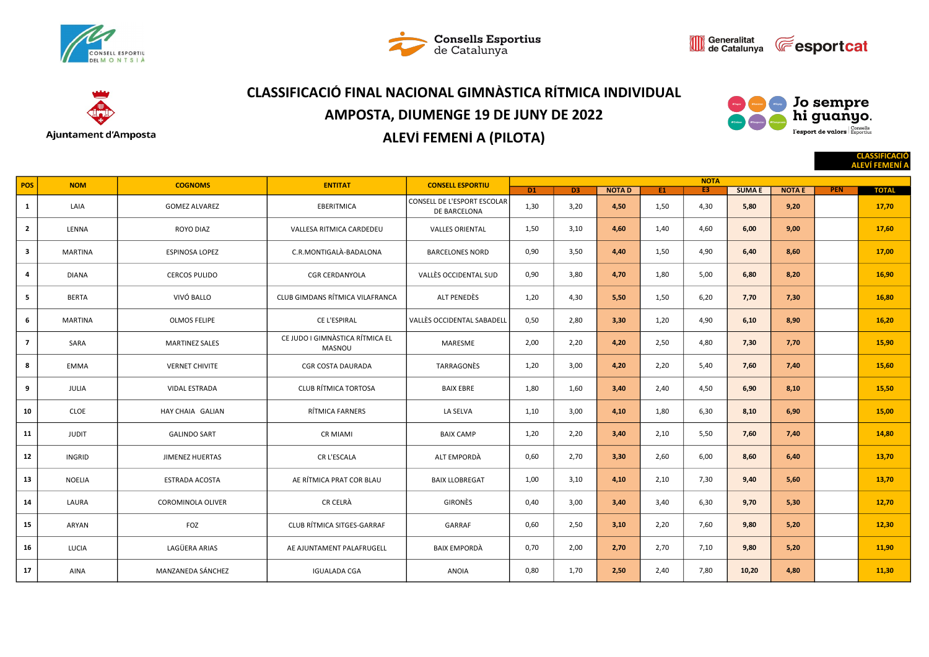







# CLASSIFICACIÓ FINAL NACIONAL GIMNÀSTICA RÍTMICA INDIVIDUAL AMPOSTA, DIUMENGE 19 DE JUNY DE 2022 ALEVÍ FEMENÍ A (PILOTA)



|                |               |                        |                                           |                                             |                |      |              |      |                               |              |               |            | <b>CLASSIFICACIÓ</b><br><b>ALEVÍ FEMENÍ A</b> |
|----------------|---------------|------------------------|-------------------------------------------|---------------------------------------------|----------------|------|--------------|------|-------------------------------|--------------|---------------|------------|-----------------------------------------------|
| POS            | <b>NOM</b>    | <b>COGNOMS</b>         | <b>ENTITAT</b>                            | <b>CONSELL ESPORTIU</b>                     | D <sub>1</sub> | D3   | <b>NOTAD</b> | E1   | <b>NOTA</b><br>E <sub>3</sub> | <b>SUMAE</b> | <b>NOTA E</b> | <b>PEN</b> | <b>TOTAL</b>                                  |
| $\mathbf{1}$   | LAIA          | <b>GOMEZ ALVAREZ</b>   | EBERITMICA                                | CONSELL DE L'ESPORT ESCOLAR<br>DE BARCELONA | 1,30           | 3,20 | 4,50         | 1,50 | 4,30                          | 5,80         | 9,20          |            | 17,70                                         |
| $\mathbf{2}$   | LENNA         | ROYO DIAZ              | VALLESA RITMICA CARDEDEU                  | <b>VALLES ORIENTAL</b>                      | 1,50           | 3,10 | 4,60         | 1,40 | 4,60                          | 6,00         | 9,00          |            | 17,60                                         |
| 3              | MARTINA       | ESPINOSA LOPEZ         | C.R.MONTIGALÀ-BADALONA                    | <b>BARCELONES NORD</b>                      | 0,90           | 3,50 | 4,40         | 1,50 | 4,90                          | 6,40         | 8,60          |            | 17,00                                         |
| 4              | <b>DIANA</b>  | <b>CERCOS PULIDO</b>   | <b>CGR CERDANYOLA</b>                     | VALLÈS OCCIDENTAL SUD                       | 0,90           | 3,80 | 4,70         | 1,80 | 5,00                          | 6,80         | 8,20          |            | 16,90                                         |
| 5              | <b>BERTA</b>  | VIVÓ BALLO             | CLUB GIMDANS RÍTMICA VILAFRANCA           | ALT PENEDÈS                                 | 1,20           | 4,30 | 5,50         | 1,50 | 6,20                          | 7,70         | 7,30          |            | 16,80                                         |
| 6              | MARTINA       | <b>OLMOS FELIPE</b>    | CE L'ESPIRAL                              | VALLÈS OCCIDENTAL SABADELL                  | 0,50           | 2,80 | 3,30         | 1,20 | 4,90                          | 6,10         | 8,90          |            | 16,20                                         |
| $\overline{7}$ | SARA          | <b>MARTINEZ SALES</b>  | CE JUDO I GIMNÀSTICA RÍTMICA EL<br>MASNOU | MARESME                                     | 2,00           | 2,20 | 4,20         | 2,50 | 4,80                          | 7,30         | 7,70          |            | 15,90                                         |
| 8              | <b>EMMA</b>   | <b>VERNET CHIVITE</b>  | CGR COSTA DAURADA                         | TARRAGONÈS                                  | 1,20           | 3,00 | 4,20         | 2,20 | 5,40                          | 7,60         | 7,40          |            | 15,60                                         |
| 9              | JULIA         | <b>VIDAL ESTRADA</b>   | <b>CLUB RÍTMICA TORTOSA</b>               | <b>BAIX EBRE</b>                            | 1,80           | 1,60 | 3,40         | 2,40 | 4,50                          | 6,90         | 8,10          |            | 15,50                                         |
| 10             | CLOE          | HAY CHAIA GALIAN       | RÍTMICA FARNERS                           | LA SELVA                                    | 1,10           | 3,00 | 4,10         | 1,80 | 6,30                          | 8,10         | 6,90          |            | 15,00                                         |
| 11             | <b>JUDIT</b>  | <b>GALINDO SART</b>    | <b>CR MIAMI</b>                           | <b>BAIX CAMP</b>                            | 1,20           | 2,20 | 3,40         | 2,10 | 5,50                          | 7,60         | 7,40          |            | 14,80                                         |
| 12             | INGRID        | <b>JIMENEZ HUERTAS</b> | CR L'ESCALA                               | ALT EMPORDÀ                                 | 0,60           | 2,70 | 3,30         | 2,60 | 6,00                          | 8,60         | 6,40          |            | 13,70                                         |
| 13             | <b>NOELIA</b> | <b>ESTRADA ACOSTA</b>  | AE RÍTMICA PRAT COR BLAU                  | <b>BAIX LLOBREGAT</b>                       | 1,00           | 3,10 | 4,10         | 2,10 | 7,30                          | 9,40         | 5,60          |            | 13,70                                         |
| 14             | LAURA         | COROMINOLA OLIVER      | CR CELRÀ                                  | GIRONÈS                                     | 0,40           | 3,00 | 3,40         | 3,40 | 6,30                          | 9,70         | 5,30          |            | 12,70                                         |
| 15             | ARYAN         | FOZ                    | CLUB RÍTMICA SITGES-GARRAF                | GARRAF                                      | 0,60           | 2,50 | 3,10         | 2,20 | 7,60                          | 9,80         | 5,20          |            | 12,30                                         |
| 16             | LUCIA         | LAGÜERA ARIAS          | AE AJUNTAMENT PALAFRUGELL                 | <b>BAIX EMPORDA</b>                         | 0,70           | 2,00 | 2,70         | 2,70 | 7,10                          | 9,80         | 5,20          |            | 11,90                                         |
| 17             | <b>AINA</b>   | MANZANEDA SÁNCHEZ      | <b>IGUALADA CGA</b>                       | <b>ANOIA</b>                                | 0,80           | 1,70 | 2,50         | 2,40 | 7,80                          | 10,20        | 4,80          |            | 11,30                                         |